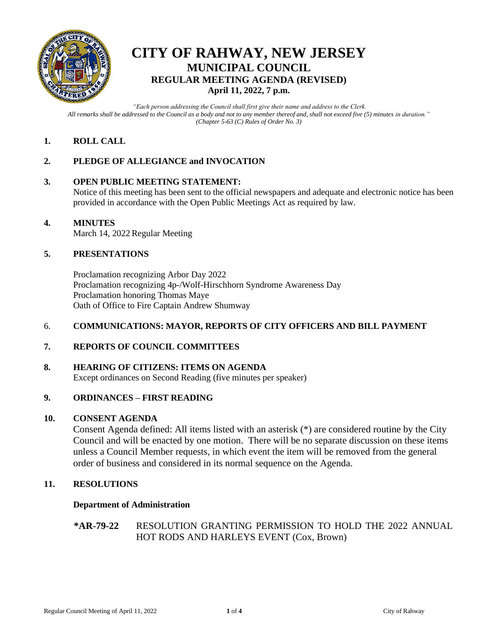

# **CITY OF RAHWAY, NEW JERSEY MUNICIPAL COUNCIL REGULAR MEETING AGENDA (REVISED) April 11, 2022, 7 p.m.**

*"Each person addressing the Council shall first give their name and address to the Clerk. All remarks shall be addressed to the Council as a body and not to any member thereof and, shall not exceed five (5) minutes in duration." (Chapter 5-63 (C) Rules of Order No. 3)*

# **1. ROLL CALL**

# **2. PLEDGE OF ALLEGIANCE and INVOCATION**

# **3. OPEN PUBLIC MEETING STATEMENT:**

Notice of this meeting has been sent to the official newspapers and adequate and electronic notice has been provided in accordance with the Open Public Meetings Act as required by law.

#### **4. MINUTES**

March 14, 2022 Regular Meeting

# **5. PRESENTATIONS**

Proclamation recognizing Arbor Day 2022 Proclamation recognizing 4p-/Wolf-Hirschhorn Syndrome Awareness Day Proclamation honoring Thomas Maye Oath of Office to Fire Captain Andrew Shumway

# 6. **COMMUNICATIONS: MAYOR, REPORTS OF CITY OFFICERS AND BILL PAYMENT**

# **7. REPORTS OF COUNCIL COMMITTEES**

# **8. HEARING OF CITIZENS: ITEMS ON AGENDA**

Except ordinances on Second Reading (five minutes per speaker)

# **9. ORDINANCES – FIRST READING**

#### **10. CONSENT AGENDA**

Consent Agenda defined: All items listed with an asterisk (\*) are considered routine by the City Council and will be enacted by one motion. There will be no separate discussion on these items unless a Council Member requests, in which event the item will be removed from the general order of business and considered in its normal sequence on the Agenda.

#### **11. RESOLUTIONS**

#### **Department of Administration**

# **\*AR-79-22** RESOLUTION GRANTING PERMISSION TO HOLD THE 2022 ANNUAL HOT RODS AND HARLEYS EVENT (Cox, Brown)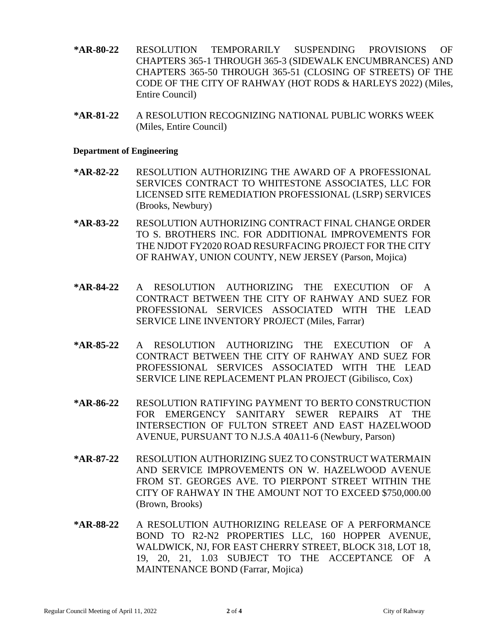- **\*AR-80-22** RESOLUTION TEMPORARILY SUSPENDING PROVISIONS OF CHAPTERS 365-1 THROUGH 365-3 (SIDEWALK ENCUMBRANCES) AND CHAPTERS 365-50 THROUGH 365-51 (CLOSING OF STREETS) OF THE CODE OF THE CITY OF RAHWAY (HOT RODS & HARLEYS 2022) (Miles, Entire Council)
- **\*AR-81-22** A RESOLUTION RECOGNIZING NATIONAL PUBLIC WORKS WEEK (Miles, Entire Council)

#### **Department of Engineering**

- **\*AR-82-22** RESOLUTION AUTHORIZING THE AWARD OF A PROFESSIONAL SERVICES CONTRACT TO WHITESTONE ASSOCIATES, LLC FOR LICENSED SITE REMEDIATION PROFESSIONAL (LSRP) SERVICES (Brooks, Newbury)
- **\*AR-83-22** RESOLUTION AUTHORIZING CONTRACT FINAL CHANGE ORDER TO S. BROTHERS INC. FOR ADDITIONAL IMPROVEMENTS FOR THE NJDOT FY2020 ROAD RESURFACING PROJECT FOR THE CITY OF RAHWAY, UNION COUNTY, NEW JERSEY (Parson, Mojica)
- **\*AR-84-22** A RESOLUTION AUTHORIZING THE EXECUTION OF A CONTRACT BETWEEN THE CITY OF RAHWAY AND SUEZ FOR PROFESSIONAL SERVICES ASSOCIATED WITH THE LEAD SERVICE LINE INVENTORY PROJECT (Miles, Farrar)
- **\*AR-85-22** A RESOLUTION AUTHORIZING THE EXECUTION OF A CONTRACT BETWEEN THE CITY OF RAHWAY AND SUEZ FOR PROFESSIONAL SERVICES ASSOCIATED WITH THE LEAD SERVICE LINE REPLACEMENT PLAN PROJECT (Gibilisco, Cox)
- **\*AR-86-22** RESOLUTION RATIFYING PAYMENT TO BERTO CONSTRUCTION FOR EMERGENCY SANITARY SEWER REPAIRS AT THE INTERSECTION OF FULTON STREET AND EAST HAZELWOOD AVENUE, PURSUANT TO N.J.S.A 40A11-6 (Newbury, Parson)
- **\*AR-87-22** RESOLUTION AUTHORIZING SUEZ TO CONSTRUCT WATERMAIN AND SERVICE IMPROVEMENTS ON W. HAZELWOOD AVENUE FROM ST. GEORGES AVE. TO PIERPONT STREET WITHIN THE CITY OF RAHWAY IN THE AMOUNT NOT TO EXCEED \$750,000.00 (Brown, Brooks)
- **\*AR-88-22** A RESOLUTION AUTHORIZING RELEASE OF A PERFORMANCE BOND TO R2-N2 PROPERTIES LLC, 160 HOPPER AVENUE, WALDWICK, NJ, FOR EAST CHERRY STREET, BLOCK 318, LOT 18, 19, 20, 21, 1.03 SUBJECT TO THE ACCEPTANCE OF A MAINTENANCE BOND (Farrar, Mojica)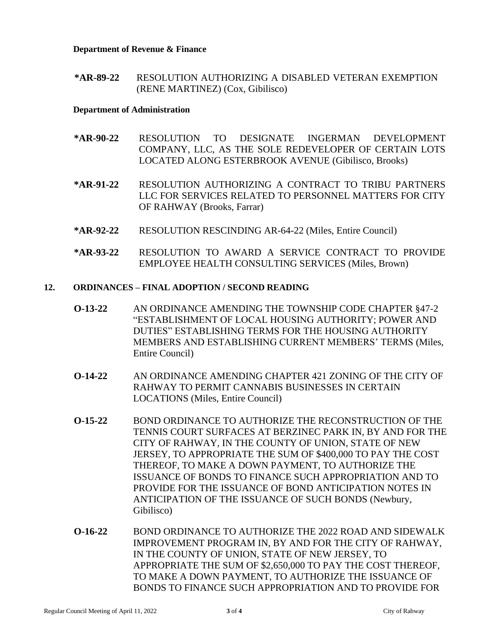#### **Department of Revenue & Finance**

**\*AR-89-22** RESOLUTION AUTHORIZING A DISABLED VETERAN EXEMPTION (RENE MARTINEZ) (Cox, Gibilisco)

#### **Department of Administration**

- **\*AR-90-22** RESOLUTION TO DESIGNATE INGERMAN DEVELOPMENT COMPANY, LLC, AS THE SOLE REDEVELOPER OF CERTAIN LOTS LOCATED ALONG ESTERBROOK AVENUE (Gibilisco, Brooks)
- **\*AR-91-22** RESOLUTION AUTHORIZING A CONTRACT TO TRIBU PARTNERS LLC FOR SERVICES RELATED TO PERSONNEL MATTERS FOR CITY OF RAHWAY (Brooks, Farrar)
- **\*AR-92-22** RESOLUTION RESCINDING AR-64-22 (Miles, Entire Council)
- **\*AR-93-22** RESOLUTION TO AWARD A SERVICE CONTRACT TO PROVIDE EMPLOYEE HEALTH CONSULTING SERVICES (Miles, Brown)

# **12. ORDINANCES – FINAL ADOPTION / SECOND READING**

- **O-13-22** AN ORDINANCE AMENDING THE TOWNSHIP CODE CHAPTER §47-2 "ESTABLISHMENT OF LOCAL HOUSING AUTHORITY; POWER AND DUTIES" ESTABLISHING TERMS FOR THE HOUSING AUTHORITY MEMBERS AND ESTABLISHING CURRENT MEMBERS' TERMS (Miles, Entire Council)
- **O-14-22** AN ORDINANCE AMENDING CHAPTER 421 ZONING OF THE CITY OF RAHWAY TO PERMIT CANNABIS BUSINESSES IN CERTAIN LOCATIONS (Miles, Entire Council)
- **O-15-22** BOND ORDINANCE TO AUTHORIZE THE RECONSTRUCTION OF THE TENNIS COURT SURFACES AT BERZINEC PARK IN, BY AND FOR THE CITY OF RAHWAY, IN THE COUNTY OF UNION, STATE OF NEW JERSEY, TO APPROPRIATE THE SUM OF \$400,000 TO PAY THE COST THEREOF, TO MAKE A DOWN PAYMENT, TO AUTHORIZE THE ISSUANCE OF BONDS TO FINANCE SUCH APPROPRIATION AND TO PROVIDE FOR THE ISSUANCE OF BOND ANTICIPATION NOTES IN ANTICIPATION OF THE ISSUANCE OF SUCH BONDS (Newbury, Gibilisco)
- **O-16-22** BOND ORDINANCE TO AUTHORIZE THE 2022 ROAD AND SIDEWALK IMPROVEMENT PROGRAM IN, BY AND FOR THE CITY OF RAHWAY, IN THE COUNTY OF UNION, STATE OF NEW JERSEY, TO APPROPRIATE THE SUM OF \$2,650,000 TO PAY THE COST THEREOF, TO MAKE A DOWN PAYMENT, TO AUTHORIZE THE ISSUANCE OF BONDS TO FINANCE SUCH APPROPRIATION AND TO PROVIDE FOR